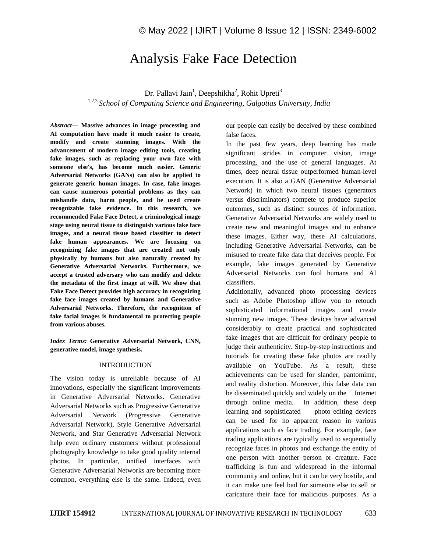# Analysis Fake Face Detection

Dr. Pallavi Jain<sup>1</sup>, Deepshikha<sup>2</sup>, Rohit Upreti<sup>3</sup>

1,2,3 *School of Computing Science and Engineering, Galgotias University, India*

*Abstract—* **Massive advances in image processing and AI computation have made it much easier to create, modify and create stunning images. With the advancement of modern image editing tools, creating fake images, such as replacing your own face with someone else's, has become much easier. Generic Adversarial Networks (GANs) can also be applied to generate generic human images. In case, fake images can cause numerous potential problems as they can mishandle data, harm people, and be used create recognizable fake evidence. In this research, we recommended Fake Face Detect, a criminological image stage using neural tissue to distinguish various fake face images, and a neural tissue based classifier to detect fake human appearances. We are focusing on recognizing fake images that are created not only physically by humans but also naturally created by Generative Adversarial Networks. Furthermore, we accept a trusted adversary who can modify and delete the metadata of the first image at will. We show that Fake Face Detect provides high accuracy in recognizing fake face images created by humans and Generative Adversarial Networks. Therefore, the recognition of fake facial images is fundamental to protecting people from various abuses.**

*Index Terms:* **Generative Adversarial Network, CNN, generative model, image synthesis.**

### **INTRODUCTION**

The vision today is unreliable because of AI innovations, especially the significant improvements in Generative Adversarial Networks. Generative Adversarial Networks such as Progressive Generative Adversarial Network (Progressive Generative Adversarial Network), Style Generative Adversarial Network, and Star Generative Adversarial Network help even ordinary customers without professional photography knowledge to take good quality internal photos. In particular, unified interfaces with Generative Adversarial Networks are becoming more common, everything else is the same. Indeed, even our people can easily be deceived by these combined false faces.

In the past few years, deep learning has made significant strides in computer vision, image processing, and the use of general languages. At times, deep neural tissue outperformed human-level execution. It is also a GAN (Generative Adversarial Network) in which two neural tissues (generators versus discriminators) compete to produce superior outcomes, such as distinct sources of information. Generative Adversarial Networks are widely used to create new and meaningful images and to enhance these images. Either way, these AI calculations, including Generative Adversarial Networks, can be misused to create fake data that deceives people. For example, fake images generated by Generative Adversarial Networks can fool humans and AI classifiers.

Additionally, advanced photo processing devices such as Adobe Photoshop allow you to retouch sophisticated informational images and create stunning new images. These devices have advanced considerably to create practical and sophisticated fake images that are difficult for ordinary people to judge their authenticity. Step-by-step instructions and tutorials for creating these fake photos are readily available on YouTube. As a result, these achievements can be used for slander, pantomime, and reality distortion. Moreover, this false data can be disseminated quickly and widely on the Internet through online media. In addition, these deep learning and sophisticated photo editing devices can be used for no apparent reason in various applications such as face trading. For example, face trading applications are typically used to sequentially recognize faces in photos and exchange the entity of one person with another person or creature. Face trafficking is fun and widespread in the informal community and online, but it can be very hostile, and it can make one feel bad for someone else to sell or caricature their face for malicious purposes. As a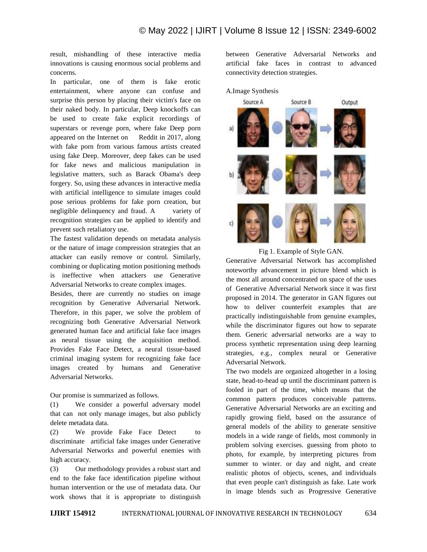result, mishandling of these interactive media innovations is causing enormous social problems and concerns.

In particular, one of them is fake erotic entertainment, where anyone can confuse and surprise this person by placing their victim's face on their naked body. In particular, Deep knockoffs can be used to create fake explicit recordings of superstars or revenge porn, where fake Deep porn appeared on the Internet on Reddit in 2017, along with fake porn from various famous artists created using fake Deep. Moreover, deep fakes can be used for fake news and malicious manipulation in legislative matters, such as Barack Obama's deep forgery. So, using these advances in interactive media with artificial intelligence to simulate images could pose serious problems for fake porn creation, but negligible delinquency and fraud. A variety of recognition strategies can be applied to identify and prevent such retaliatory use.

The fastest validation depends on metadata analysis or the nature of image compression strategies that an attacker can easily remove or control. Similarly, combining or duplicating motion positioning methods is ineffective when attackers use Generative Adversarial Networks to create complex images.

Besides, there are currently no studies on image recognition by Generative Adversarial Network. Therefore, in this paper, we solve the problem of recognizing both Generative Adversarial Network generated human face and artificial fake face images as neural tissue using the acquisition method. Provides Fake Face Detect, a neural tissue-based criminal imaging system for recognizing fake face images created by humans and Generative Adversarial Networks.

Our promise is summarized as follows.

(1) We consider a powerful adversary model that can not only manage images, but also publicly delete metadata data.

(2) We provide Fake Face Detect to discriminate artificial fake images under Generative Adversarial Networks and powerful enemies with high accuracy.

(3) Our methodology provides a robust start and end to the fake face identification pipeline without human intervention or the use of metadata data. Our work shows that it is appropriate to distinguish between Generative Adversarial Networks and artificial fake faces in contrast to advanced connectivity detection strategies.



Fig 1. Example of Style GAN.

Generative Adversarial Network has accomplished noteworthy advancement in picture blend which is the most all around concentrated on space of the uses of Generative Adversarial Network since it was first proposed in 2014. The generator in GAN figures out how to deliver counterfeit examples that are practically indistinguishable from genuine examples, while the discriminator figures out how to separate them. Generic adversarial networks are a way to process synthetic representation using deep learning strategies, e.g., complex neural or Generative Adversarial Network.

The two models are organized altogether in a losing state, head-to-head up until the discriminant pattern is fooled in part of the time, which means that the common pattern produces conceivable patterns. Generative Adversarial Networks are an exciting and rapidly growing field, based on the assurance of general models of the ability to generate sensitive models in a wide range of fields, most commonly in problem solving exercises. guessing from photo to photo, for example, by interpreting pictures from summer to winter. or day and night, and create realistic photos of objects, scenes, and individuals that even people can't distinguish as fake. Late work in image blends such as Progressive Generative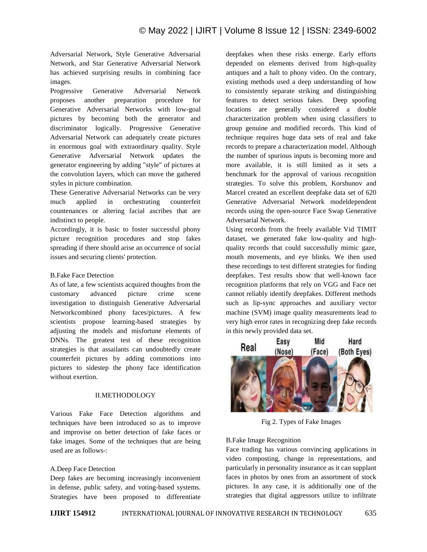Adversarial Network, Style Generative Adversarial Network, and Star Generative Adversarial Network has achieved surprising results in combining face images.

Progressive Generative Adversarial Network proposes another preparation procedure for Generative Adversarial Networks with low-goal pictures by becoming both the generator and discriminator logically. Progressive Generative Adversarial Network can adequately create pictures in enormous goal with extraordinary quality. Style Generative Adversarial Network updates the generator engineering by adding "style" of pictures at the convolution layers, which can move the gathered styles in picture combination.

These Generative Adversarial Networks can be very much applied in orchestrating counterfeit countenances or altering facial ascribes that are indistinct to people.

Accordingly, it is basic to foster successful phony picture recognition procedures and stop fakes spreading if there should arise an occurrence of social issues and securing clients' protection.

### B.Fake Face Detection

As of late, a few scientists acquired thoughts from the customary advanced picture crime scene investigation to distinguish Generative Adversarial Networkcombined phony faces/pictures. A few scientists propose learning-based strategies by adjusting the models and misfortune elements of DNNs. The greatest test of these recognition strategies is that assailants can undoubtedly create counterfeit pictures by adding commotions into pictures to sidestep the phony face identification without exertion.

#### II.METHODOLOGY

Various Fake Face Detection algorithms and techniques have been introduced so as to improve and improvise on better detection of fake faces or fake images. Some of the techniques that are being used are as follows-:

# A.Deep Face Detection

Deep fakes are becoming increasingly inconvenient in defense, public safety, and voting-based systems. Strategies have been proposed to differentiate deepfakes when these risks emerge. Early efforts depended on elements derived from high-quality antiques and a halt to phony video. On the contrary, existing methods used a deep understanding of how to consistently separate striking and distinguishing features to detect serious fakes. Deep spoofing locations are generally considered a double characterization problem when using classifiers to group genuine and modified records. This kind of technique requires huge data sets of real and fake records to prepare a characterization model. Although the number of spurious inputs is becoming more and more available, it is still limited as it sets a benchmark for the approval of various recognition strategies. To solve this problem, Korshunov and Marcel created an excellent deepfake data set of 620 Generative Adversarial Network modeldependent records using the open-source Face Swap Generative Adversarial Network.

Using records from the freely available Vid TIMIT dataset, we generated fake low-quality and highquality records that could successfully mimic gaze, mouth movements, and eye blinks. We then used these recordings to test different strategies for finding deepfakes. Test results show that well-known face recognition platforms that rely on VGG and Face net cannot reliably identify deepfakes. Different methods such as lip-sync approaches and auxiliary vector machine (SVM) image quality measurements lead to very high error rates in recognizing deep fake records in this newly provided data set.



Fig 2. Types of Fake Images

# B.Fake Image Recognition

Face trading has various convincing applications in video composting, change in representations, and particularly in personality insurance as it can supplant faces in photos by ones from an assortment of stock pictures. In any case, it is additionally one of the strategies that digital aggressors utilize to infiltrate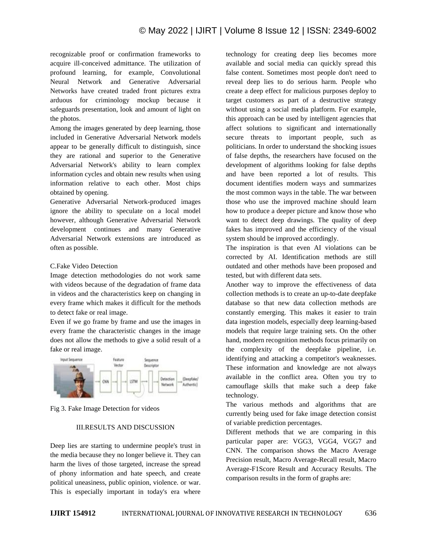recognizable proof or confirmation frameworks to acquire ill-conceived admittance. The utilization of profound learning, for example, Convolutional Neural Network and Generative Adversarial Networks have created traded front pictures extra arduous for criminology mockup because it safeguards presentation, look and amount of light on the photos.

Among the images generated by deep learning, those included in Generative Adversarial Network models appear to be generally difficult to distinguish, since they are rational and superior to the Generative Adversarial Network's ability to learn complex information cycles and obtain new results when using information relative to each other. Most chips obtained by opening.

Generative Adversarial Network-produced images ignore the ability to speculate on a local model however, although Generative Adversarial Network development continues and many Generative Adversarial Network extensions are introduced as often as possible.

#### C.Fake Video Detection

Image detection methodologies do not work same with videos because of the degradation of frame data in videos and the characteristics keep on changing in every frame which makes it difficult for the methods to detect fake or real image.

Even if we go frame by frame and use the images in every frame the characteristic changes in the image does not allow the methods to give a solid result of a fake or real image.



Fig 3. Fake Image Detection for videos

# III.RESULTS AND DISCUSSION

Deep lies are starting to undermine people's trust in the media because they no longer believe it. They can harm the lives of those targeted, increase the spread of phony information and hate speech, and create political uneasiness, public opinion, violence. or war. This is especially important in today's era where technology for creating deep lies becomes more available and social media can quickly spread this false content. Sometimes most people don't need to reveal deep lies to do serious harm. People who create a deep effect for malicious purposes deploy to target customers as part of a destructive strategy without using a social media platform. For example, this approach can be used by intelligent agencies that affect solutions to significant and internationally secure threats to important people, such as politicians. In order to understand the shocking issues of false depths, the researchers have focused on the development of algorithms looking for false depths and have been reported a lot of results. This document identifies modern ways and summarizes the most common ways in the table. The war between those who use the improved machine should learn how to produce a deeper picture and know those who want to detect deep drawings. The quality of deep fakes has improved and the efficiency of the visual system should be improved accordingly.

The inspiration is that even AI violations can be corrected by AI. Identification methods are still outdated and other methods have been proposed and tested, but with different data sets.

Another way to improve the effectiveness of data collection methods is to create an up-to-date deepfake database so that new data collection methods are constantly emerging. This makes it easier to train data ingestion models, especially deep learning-based models that require large training sets. On the other hand, modern recognition methods focus primarily on the complexity of the deepfake pipeline, i.e. identifying and attacking a competitor's weaknesses. These information and knowledge are not always available in the conflict area. Often you try to camouflage skills that make such a deep fake technology.

The various methods and algorithms that are currently being used for fake image detection consist of variable prediction percentages.

Different methods that we are comparing in this particular paper are: VGG3, VGG4, VGG7 and CNN. The comparison shows the Macro Average Precision result, Macro Average-Recall result, Macro Average-F1Score Result and Accuracy Results. The comparison results in the form of graphs are: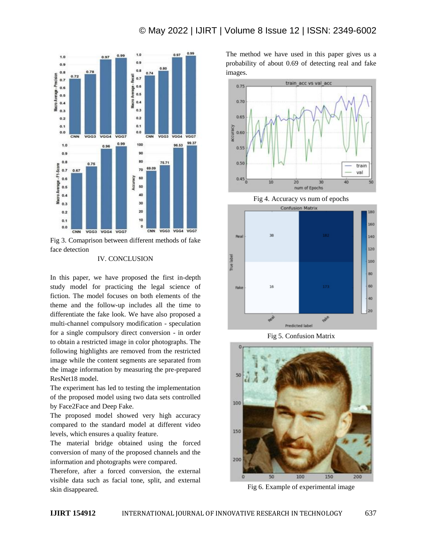

Fig 3. Comaprison between different methods of fake face detection

#### IV. CONCLUSION

In this paper, we have proposed the first in-depth study model for practicing the legal science of fiction. The model focuses on both elements of the theme and the follow-up includes all the time to differentiate the fake look. We have also proposed a multi-channel compulsory modification - speculation for a single compulsory direct conversion - in order to obtain a restricted image in color photographs. The following highlights are removed from the restricted image while the content segments are separated from the image information by measuring the pre-prepared ResNet18 model.

The experiment has led to testing the implementation of the proposed model using two data sets controlled by Face2Face and Deep Fake.

The proposed model showed very high accuracy compared to the standard model at different video levels, which ensures a quality feature.

The material bridge obtained using the forced conversion of many of the proposed channels and the information and photographs were compared.

Therefore, after a forced conversion, the external visible data such as facial tone, split, and external skin disappeared.

The method we have used in this paper gives us a probability of about 0.69 of detecting real and fake images.



Fig 4. Accuracy vs num of epochs



Fig 5. Confusion Matrix



Fig 6. Example of experimental image